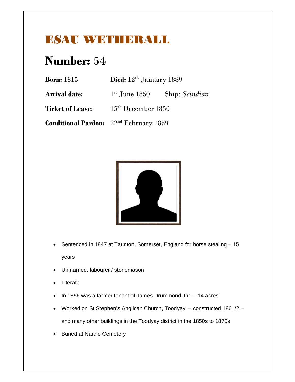#### ESAU WETHERALL

| <b>Born:</b> 1815       | Died: 12 <sup>th</sup> January 1889                |  |
|-------------------------|----------------------------------------------------|--|
| <b>Arrival date:</b>    | $1st$ June 1850 Ship: Scindian                     |  |
| <b>Ticket of Leave:</b> | $15th$ December 1850                               |  |
|                         | Conditional Pardon: 22 <sup>nd</sup> February 1859 |  |



- Sentenced in 1847 at Taunton, Somerset, England for horse stealing 15 years
- Unmarried, labourer / stonemason
- Literate
- $\bullet$  In 1856 was a farmer tenant of James Drummond Jnr.  $-$  14 acres
- Worked on St Stephen's Anglican Church, Toodyay constructed 1861/2 and many other buildings in the Toodyay district in the 1850s to 1870s
- Buried at Nardie Cemetery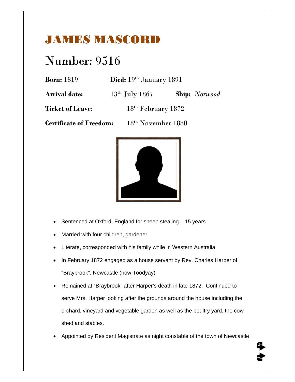### JAMES MASCORD

### Number: 9516

| <b>Born:</b> 1819 | Died: 19th January 1891 |
|-------------------|-------------------------|
|                   |                         |

**Arrival date:** 13th July 1867 **Ship:** *Norwood*

**Ticket of Leave:** 18<sup>th</sup> February 1872

**Certificate of Freedom:** 18th November 1880



- Sentenced at Oxford, England for sheep stealing 15 years
- Married with four children, gardener
- Literate, corresponded with his family while in Western Australia
- In February 1872 engaged as a house servant by Rev. Charles Harper of "Braybrook", Newcastle (now Toodyay)
- Remained at "Braybrook" after Harper's death in late 1872. Continued to serve Mrs. Harper looking after the grounds around the house including the orchard, vineyard and vegetable garden as well as the poultry yard, the cow shed and stables.
- Appointed by Resident Magistrate as night constable of the town of Newcastle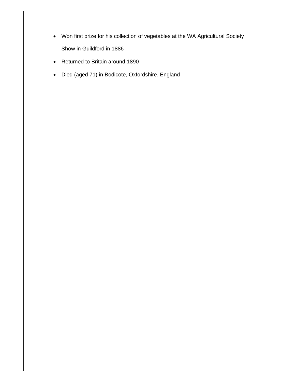- Won first prize for his collection of vegetables at the WA Agricultural Society Show in Guildford in 1886
- Returned to Britain around 1890
- Died (aged 71) in Bodicote, Oxfordshire, England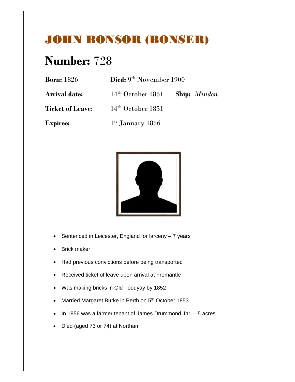### JOHN BONSOR (BONSER)

| <b>Born:</b> 1826       | Died: 9th November 1900                 |  |
|-------------------------|-----------------------------------------|--|
| <b>Arrival date:</b>    | $14th October 1851$ Ship: <i>Minden</i> |  |
| <b>Ticket of Leave:</b> | $14th$ October 1851                     |  |
| <b>Expiree:</b>         | $1st$ January 1856                      |  |



- $\bullet$  Sentenced in Leicester, England for larceny  $-7$  years
- Brick maker
- Had previous convictions before being transported
- Received ticket of leave upon arrival at Fremantle
- Was making bricks in Old Toodyay by 1852
- Married Margaret Burke in Perth on 5<sup>th</sup> October 1853
- $\bullet$  In 1856 was a farmer tenant of James Drummond Jnr.  $-5$  acres
- Died (aged 73 or 74) at Northam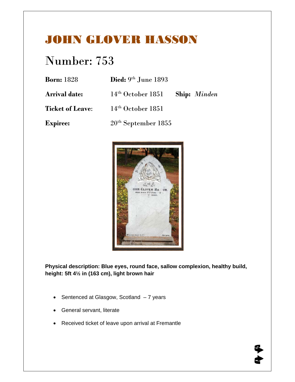#### JOHN GLOVER HASSON

# Number: 753

| <b>Born:</b> 1828       | Died: $9th$ June 1893 |                     |
|-------------------------|-----------------------|---------------------|
| <b>Arrival date:</b>    | $14th$ October 1851   | <b>Ship:</b> Minden |
| <b>Ticket of Leave:</b> | $14th$ October 1851   |                     |
| <b>Expiree:</b>         | $20th$ September 1855 |                     |



**Physical description: Blue eyes, round face, sallow complexion, healthy build, height: 5ft 4½ in (163 cm), light brown hair** 

- Sentenced at Glasgow, Scotland 7 years
- General servant, literate
- Received ticket of leave upon arrival at Fremantle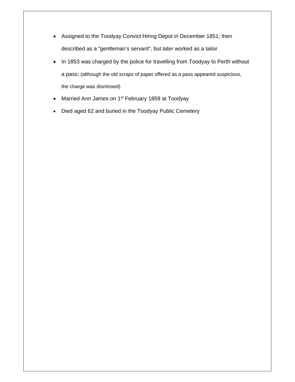- Assigned to the Toodyay Convict Hiring Depot in December 1851; then described as a "gentleman's servant", but later worked as a tailor
- In 1853 was charged by the police for travelling from Toodyay to Perth without a pass; (although the old scraps of paper offered as a pass appeared suspicious, the charge was dismissed)
- Married Ann James on 1<sup>st</sup> February 1859 at Toodyay
- Died aged 62 and buried in the Toodyay Public Cemetery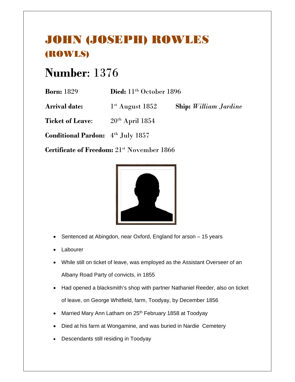### JOHN (JOSEPH) ROWLES (ROWLS)

## **Number**: 1376

| <b>Born:</b> 1829    | Died: $11th$ October 1896 |                              |
|----------------------|---------------------------|------------------------------|
| <b>Arrival date:</b> | $1st$ August 1852         | <b>Ship:</b> William Jardine |

**Ticket of Leave:** 20<sup>th</sup> April 1854

**Conditional Pardon:** 4th July 1857

Certificate of Freedom:  $21^{st}$  November 1866



- Sentenced at Abingdon, near Oxford, England for arson 15 years
- Labourer
- While still on ticket of leave, was employed as the Assistant Overseer of an Albany Road Party of convicts, in 1855
- Had opened a blacksmith's shop with partner Nathaniel Reeder, also on ticket of leave, on George Whitfield, farm, Toodyay, by December 1856
- Married Mary Ann Latham on 25<sup>th</sup> February 1858 at Toodyay
- Died at his farm at Wongamine, and was buried in Nardie Cemetery
- Descendants still residing in Toodyay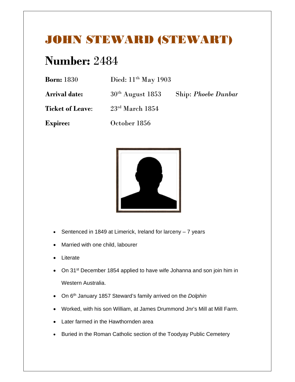#### JOHN STEWARD (STEWART)

| <b>Born:</b> 1830       | Died: $11th$ May 1903 |                            |
|-------------------------|-----------------------|----------------------------|
| <b>Arrival date:</b>    | $30th$ August 1853    | <b>Ship: Phoebe Dunbar</b> |
| <b>Ticket of Leave:</b> | $23rd$ March 1854     |                            |
| <b>Expiree:</b>         | October 1856          |                            |



- Sentenced in 1849 at Limerick, Ireland for larceny 7 years
- Married with one child, labourer
- Literate
- On 31<sup>st</sup> December 1854 applied to have wife Johanna and son join him in Western Australia.
- On 6th January 1857 Steward's family arrived on the *Dolphin*
- Worked, with his son William, at James Drummond Jnr's Mill at Mill Farm.
- Later farmed in the Hawthornden area
- Buried in the Roman Catholic section of the Toodyay Public Cemetery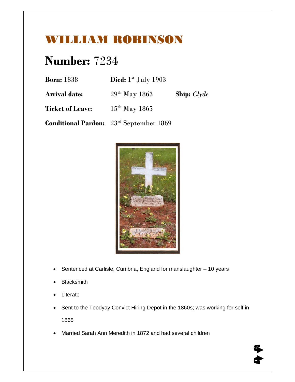### WILLIAM ROBINSON

| <b>Born:</b> 1838       | Died: $1st$ July 1903                                      |                    |
|-------------------------|------------------------------------------------------------|--------------------|
| <b>Arrival date:</b>    | $29th$ May 1863                                            | <b>Ship:</b> Clyde |
| <b>Ticket of Leave:</b> | $15th$ May 1865                                            |                    |
|                         | <b>Conditional Pardon:</b> 23 <sup>rd</sup> September 1869 |                    |



- Sentenced at Carlisle, Cumbria, England for manslaughter 10 years
- **Blacksmith**
- Literate
- Sent to the Toodyay Convict Hiring Depot in the 1860s; was working for self in 1865
- Married Sarah Ann Meredith in 1872 and had several children